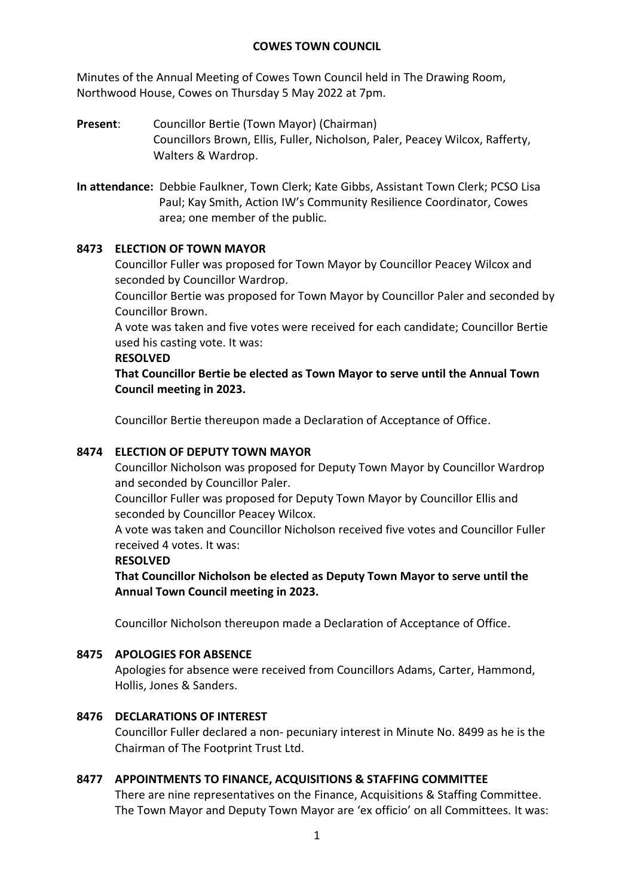#### **COWES TOWN COUNCIL**

Minutes of the Annual Meeting of Cowes Town Council held in The Drawing Room, Northwood House, Cowes on Thursday 5 May 2022 at 7pm.

- **Present**: Councillor Bertie (Town Mayor) (Chairman) Councillors Brown, Ellis, Fuller, Nicholson, Paler, Peacey Wilcox, Rafferty, Walters & Wardrop.
- **In attendance:** Debbie Faulkner, Town Clerk; Kate Gibbs, Assistant Town Clerk; PCSO Lisa Paul; Kay Smith, Action IW's Community Resilience Coordinator, Cowes area; one member of the public.

# **8473 ELECTION OF TOWN MAYOR**

Councillor Fuller was proposed for Town Mayor by Councillor Peacey Wilcox and seconded by Councillor Wardrop.

Councillor Bertie was proposed for Town Mayor by Councillor Paler and seconded by Councillor Brown.

A vote was taken and five votes were received for each candidate; Councillor Bertie used his casting vote. It was:

#### **RESOLVED**

**That Councillor Bertie be elected as Town Mayor to serve until the Annual Town Council meeting in 2023.**

Councillor Bertie thereupon made a Declaration of Acceptance of Office.

# **8474 ELECTION OF DEPUTY TOWN MAYOR**

Councillor Nicholson was proposed for Deputy Town Mayor by Councillor Wardrop and seconded by Councillor Paler.

Councillor Fuller was proposed for Deputy Town Mayor by Councillor Ellis and seconded by Councillor Peacey Wilcox.

A vote was taken and Councillor Nicholson received five votes and Councillor Fuller received 4 votes. It was:

#### **RESOLVED**

**That Councillor Nicholson be elected as Deputy Town Mayor to serve until the Annual Town Council meeting in 2023.**

Councillor Nicholson thereupon made a Declaration of Acceptance of Office.

#### **8475 APOLOGIES FOR ABSENCE**

Apologies for absence were received from Councillors Adams, Carter, Hammond, Hollis, Jones & Sanders.

#### **8476 DECLARATIONS OF INTEREST**

Councillor Fuller declared a non- pecuniary interest in Minute No. 8499 as he is the Chairman of The Footprint Trust Ltd.

#### **8477 APPOINTMENTS TO FINANCE, ACQUISITIONS & STAFFING COMMITTEE**

There are nine representatives on the Finance, Acquisitions & Staffing Committee. The Town Mayor and Deputy Town Mayor are 'ex officio' on all Committees. It was: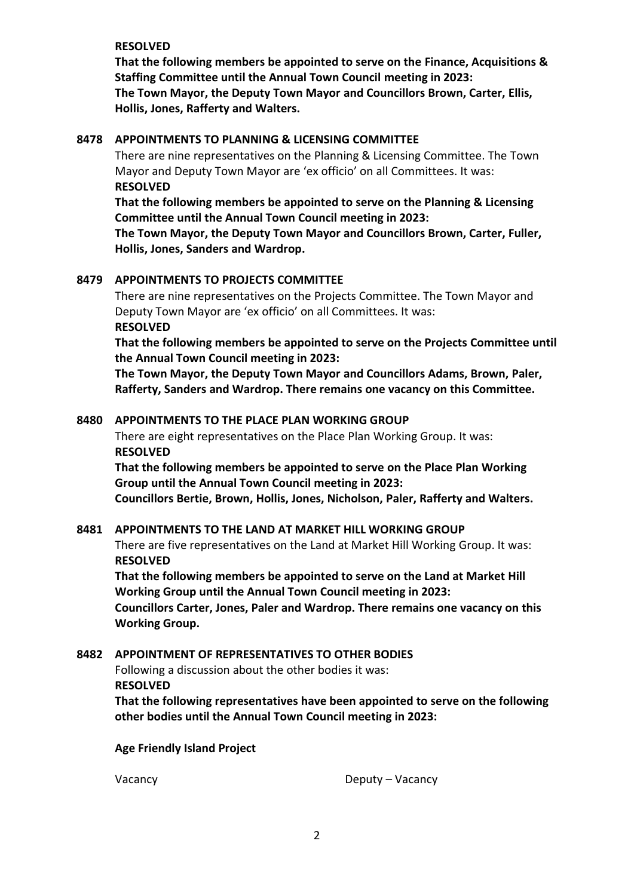#### **RESOLVED**

**That the following members be appointed to serve on the Finance, Acquisitions & Staffing Committee until the Annual Town Council meeting in 2023: The Town Mayor, the Deputy Town Mayor and Councillors Brown, Carter, Ellis, Hollis, Jones, Rafferty and Walters.**

#### **8478 APPOINTMENTS TO PLANNING & LICENSING COMMITTEE**

There are nine representatives on the Planning & Licensing Committee. The Town Mayor and Deputy Town Mayor are 'ex officio' on all Committees. It was: **RESOLVED**

**That the following members be appointed to serve on the Planning & Licensing Committee until the Annual Town Council meeting in 2023:**

**The Town Mayor, the Deputy Town Mayor and Councillors Brown, Carter, Fuller, Hollis, Jones, Sanders and Wardrop.** 

#### **8479 APPOINTMENTS TO PROJECTS COMMITTEE**

There are nine representatives on the Projects Committee. The Town Mayor and Deputy Town Mayor are 'ex officio' on all Committees. It was: **RESOLVED**

**That the following members be appointed to serve on the Projects Committee until the Annual Town Council meeting in 2023:**

**The Town Mayor, the Deputy Town Mayor and Councillors Adams, Brown, Paler, Rafferty, Sanders and Wardrop. There remains one vacancy on this Committee.**

#### **8480 APPOINTMENTS TO THE PLACE PLAN WORKING GROUP**

There are eight representatives on the Place Plan Working Group. It was: **RESOLVED**

**That the following members be appointed to serve on the Place Plan Working Group until the Annual Town Council meeting in 2023:**

**Councillors Bertie, Brown, Hollis, Jones, Nicholson, Paler, Rafferty and Walters.** 

#### **8481 APPOINTMENTS TO THE LAND AT MARKET HILL WORKING GROUP**

There are five representatives on the Land at Market Hill Working Group. It was: **RESOLVED**

**That the following members be appointed to serve on the Land at Market Hill Working Group until the Annual Town Council meeting in 2023: Councillors Carter, Jones, Paler and Wardrop. There remains one vacancy on this Working Group.**

#### **8482 APPOINTMENT OF REPRESENTATIVES TO OTHER BODIES**

Following a discussion about the other bodies it was: **RESOLVED**

**That the following representatives have been appointed to serve on the following other bodies until the Annual Town Council meeting in 2023:**

**Age Friendly Island Project**

Vacancy Deputy – Vacancy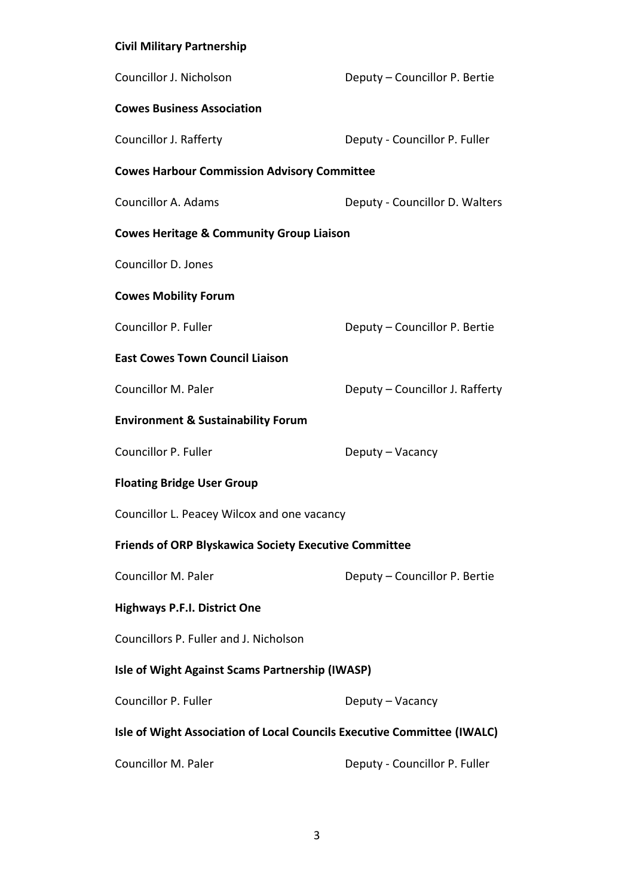# **Civil Military Partnership**

| Councillor J. Nicholson                                                 | Deputy - Councillor P. Bertie   |  |  |
|-------------------------------------------------------------------------|---------------------------------|--|--|
| <b>Cowes Business Association</b>                                       |                                 |  |  |
| Councillor J. Rafferty                                                  | Deputy - Councillor P. Fuller   |  |  |
| <b>Cowes Harbour Commission Advisory Committee</b>                      |                                 |  |  |
| Councillor A. Adams                                                     | Deputy - Councillor D. Walters  |  |  |
| <b>Cowes Heritage &amp; Community Group Liaison</b>                     |                                 |  |  |
| Councillor D. Jones                                                     |                                 |  |  |
| <b>Cowes Mobility Forum</b>                                             |                                 |  |  |
| Councillor P. Fuller                                                    | Deputy - Councillor P. Bertie   |  |  |
| <b>East Cowes Town Council Liaison</b>                                  |                                 |  |  |
| Councillor M. Paler                                                     | Deputy - Councillor J. Rafferty |  |  |
| <b>Environment &amp; Sustainability Forum</b>                           |                                 |  |  |
| Councillor P. Fuller                                                    | Deputy – Vacancy                |  |  |
| <b>Floating Bridge User Group</b>                                       |                                 |  |  |
| Councillor L. Peacey Wilcox and one vacancy                             |                                 |  |  |
| <b>Friends of ORP Blyskawica Society Executive Committee</b>            |                                 |  |  |
| Councillor M. Paler                                                     | Deputy - Councillor P. Bertie   |  |  |
| <b>Highways P.F.I. District One</b>                                     |                                 |  |  |
| Councillors P. Fuller and J. Nicholson                                  |                                 |  |  |
| Isle of Wight Against Scams Partnership (IWASP)                         |                                 |  |  |
| Councillor P. Fuller                                                    | Deputy – Vacancy                |  |  |
| Isle of Wight Association of Local Councils Executive Committee (IWALC) |                                 |  |  |
| Councillor M. Paler                                                     | Deputy - Councillor P. Fuller   |  |  |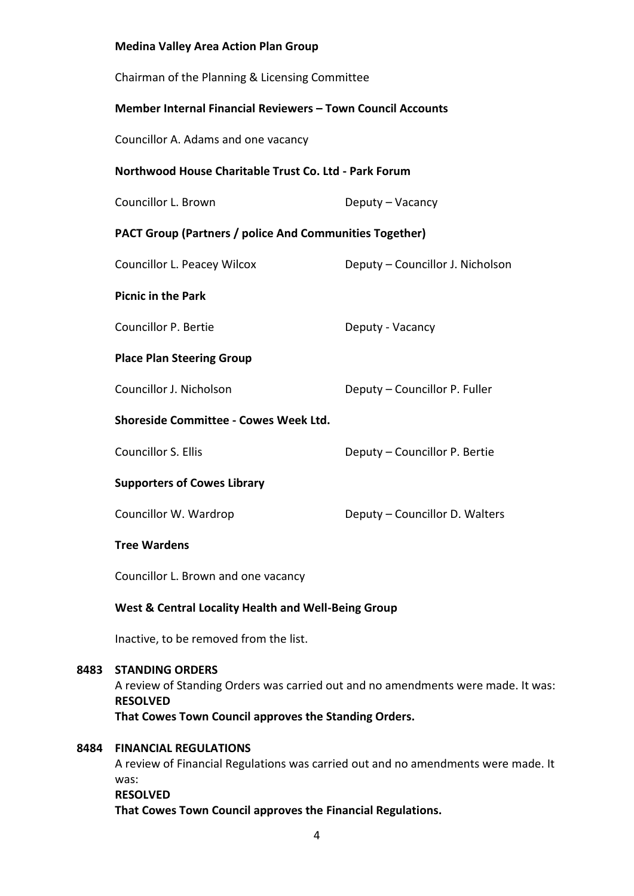# **Medina Valley Area Action Plan Group** Chairman of the Planning & Licensing Committee **Member Internal Financial Reviewers – Town Council Accounts** Councillor A. Adams and one vacancy **Northwood House Charitable Trust Co. Ltd - Park Forum** Councillor L. Brown Deputy – Vacancy **PACT Group (Partners / police And Communities Together)** Councillor L. Peacey Wilcox Deputy – Councillor J. Nicholson **Picnic in the Park** Councillor P. Bertie **Deputy - Vacancy Place Plan Steering Group** Councillor J. Nicholson Deputy – Councillor P. Fuller **Shoreside Committee - Cowes Week Ltd.** Councillor S. Ellis Deputy – Councillor P. Bertie **Supporters of Cowes Library** Councillor W. Wardrop Deputy – Councillor D. Walters **Tree Wardens**  Councillor L. Brown and one vacancy **West & Central Locality Health and Well-Being Group** Inactive, to be removed from the list. **8483 STANDING ORDERS** A review of Standing Orders was carried out and no amendments were made. It was: **RESOLVED That Cowes Town Council approves the Standing Orders. 8484 FINANCIAL REGULATIONS** A review of Financial Regulations was carried out and no amendments were made. It was: **RESOLVED That Cowes Town Council approves the Financial Regulations.**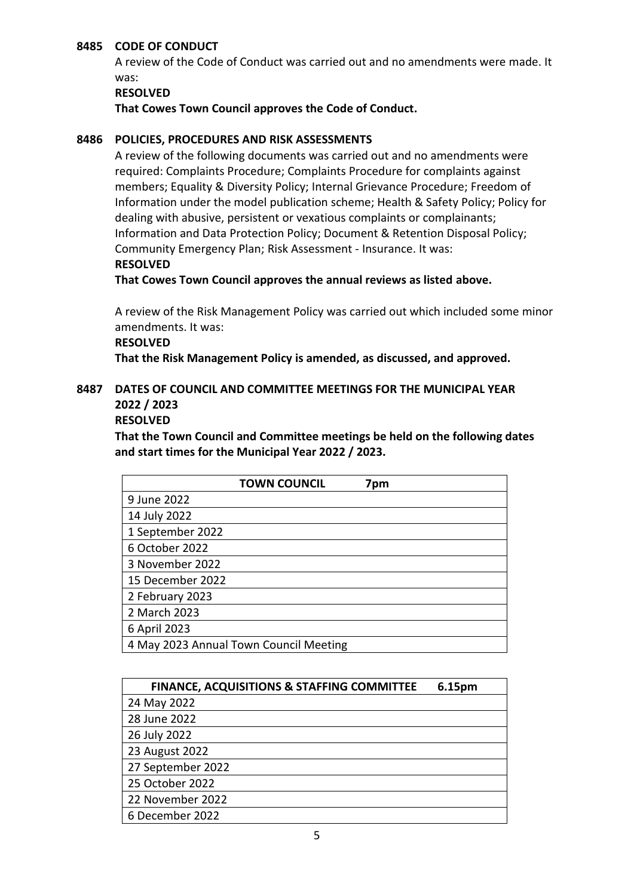#### **8485 CODE OF CONDUCT**

A review of the Code of Conduct was carried out and no amendments were made. It was:

#### **RESOLVED**

**That Cowes Town Council approves the Code of Conduct.**

#### **8486 POLICIES, PROCEDURES AND RISK ASSESSMENTS**

A review of the following documents was carried out and no amendments were required: Complaints Procedure; Complaints Procedure for complaints against members; Equality & Diversity Policy; Internal Grievance Procedure; Freedom of Information under the model publication scheme; Health & Safety Policy; Policy for dealing with abusive, persistent or vexatious complaints or complainants; Information and Data Protection Policy; Document & Retention Disposal Policy; Community Emergency Plan; Risk Assessment - Insurance. It was: **RESOLVED**

**That Cowes Town Council approves the annual reviews as listed above.**

A review of the Risk Management Policy was carried out which included some minor amendments. It was:

#### **RESOLVED**

**That the Risk Management Policy is amended, as discussed, and approved.**

# **8487 DATES OF COUNCIL AND COMMITTEE MEETINGS FOR THE MUNICIPAL YEAR 2022 / 2023**

# **RESOLVED**

**That the Town Council and Committee meetings be held on the following dates and start times for the Municipal Year 2022 / 2023.**

|                  | <b>TOWN COUNCIL</b>                    | 7pm |
|------------------|----------------------------------------|-----|
| 9 June 2022      |                                        |     |
| 14 July 2022     |                                        |     |
| 1 September 2022 |                                        |     |
| 6 October 2022   |                                        |     |
| 3 November 2022  |                                        |     |
| 15 December 2022 |                                        |     |
| 2 February 2023  |                                        |     |
| 2 March 2023     |                                        |     |
| 6 April 2023     |                                        |     |
|                  | 4 May 2023 Annual Town Council Meeting |     |

| <b>FINANCE, ACQUISITIONS &amp; STAFFING COMMITTEE</b> | 6.15pm |
|-------------------------------------------------------|--------|
| 24 May 2022                                           |        |
| 28 June 2022                                          |        |
| 26 July 2022                                          |        |
| 23 August 2022                                        |        |
| 27 September 2022                                     |        |
| 25 October 2022                                       |        |
| 22 November 2022                                      |        |
| 6 December 2022                                       |        |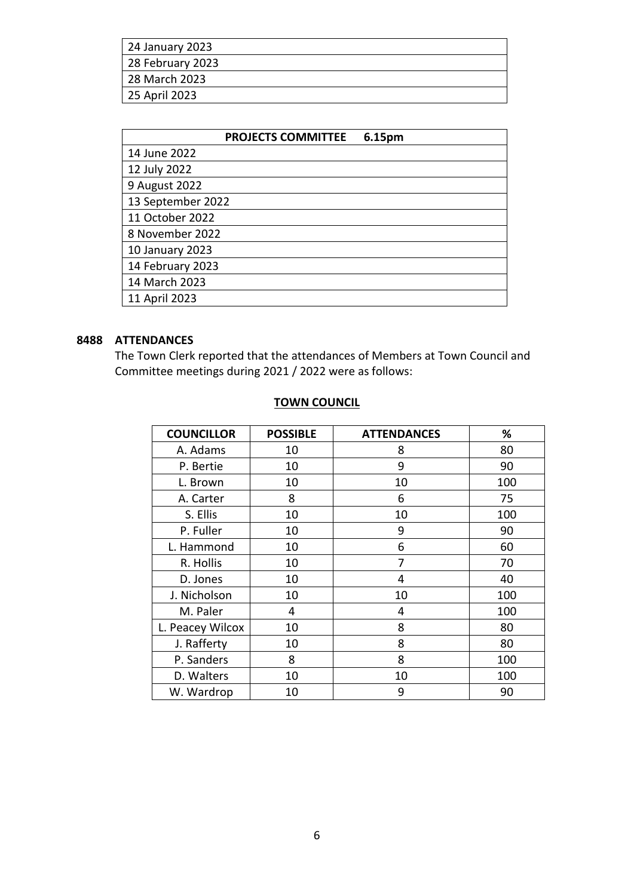| 24 January 2023  |
|------------------|
| 28 February 2023 |
| 28 March 2023    |
| 25 April 2023    |

| <b>PROJECTS COMMITTEE</b><br>6.15pm |
|-------------------------------------|
| 14 June 2022                        |
| 12 July 2022                        |
| 9 August 2022                       |
| 13 September 2022                   |
| 11 October 2022                     |
| 8 November 2022                     |
| 10 January 2023                     |
| 14 February 2023                    |
| 14 March 2023                       |
| 11 April 2023                       |

# **8488 ATTENDANCES**

The Town Clerk reported that the attendances of Members at Town Council and Committee meetings during 2021 / 2022 were as follows:

| <b>COUNCILLOR</b> | <b>POSSIBLE</b> | <b>ATTENDANCES</b> | %   |
|-------------------|-----------------|--------------------|-----|
| A. Adams          | 10              | 8                  | 80  |
| P. Bertie         | 10              | 9                  | 90  |
| L. Brown          | 10              | 10                 | 100 |
| A. Carter         | 8               | 6                  | 75  |
| S. Ellis          | 10              | 10                 | 100 |
| P. Fuller         | 10              | 9                  | 90  |
| L. Hammond        | 10              | 6                  | 60  |
| R. Hollis         | 10              | 7                  | 70  |
| D. Jones          | 10              | 4                  | 40  |
| J. Nicholson      | 10              | 10                 | 100 |
| M. Paler          | 4               | 4                  | 100 |
| L. Peacey Wilcox  | 10              | 8                  | 80  |
| J. Rafferty       | 10              | 8                  | 80  |
| P. Sanders        | 8               | 8                  | 100 |
| D. Walters        | 10              | 10                 | 100 |
| W. Wardrop        | 10              | 9                  | 90  |

# **TOWN COUNCIL**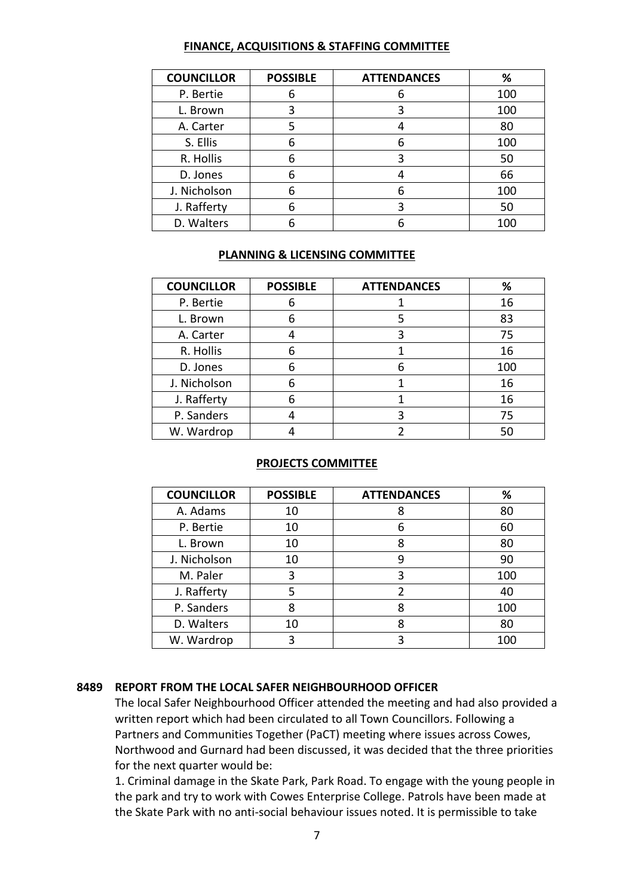#### **FINANCE, ACQUISITIONS & STAFFING COMMITTEE**

| <b>COUNCILLOR</b> | <b>POSSIBLE</b> | <b>ATTENDANCES</b> | ℅   |
|-------------------|-----------------|--------------------|-----|
| P. Bertie         | 6               |                    | 100 |
| L. Brown          | 3               |                    | 100 |
| A. Carter         | 5               |                    | 80  |
| S. Ellis          | 6               |                    | 100 |
| R. Hollis         | 6               | 3                  | 50  |
| D. Jones          | 6               |                    | 66  |
| J. Nicholson      | 6               |                    | 100 |
| J. Rafferty       | 6               |                    | 50  |
| D. Walters        | 6               |                    | 100 |

#### **PLANNING & LICENSING COMMITTEE**

| <b>COUNCILLOR</b> | <b>POSSIBLE</b> | <b>ATTENDANCES</b> | %   |
|-------------------|-----------------|--------------------|-----|
| P. Bertie         | 6               |                    | 16  |
| L. Brown          | 6               |                    | 83  |
| A. Carter         |                 | 3                  | 75  |
| R. Hollis         | 6               |                    | 16  |
| D. Jones          | 6               |                    | 100 |
| J. Nicholson      | 6               |                    | 16  |
| J. Rafferty       | 6               |                    | 16  |
| P. Sanders        |                 |                    | 75  |
| W. Wardrop        |                 |                    | 50  |

#### **PROJECTS COMMITTEE**

| <b>COUNCILLOR</b> | <b>POSSIBLE</b> | <b>ATTENDANCES</b> | ℅   |
|-------------------|-----------------|--------------------|-----|
| A. Adams          | 10              |                    | 80  |
| P. Bertie         | 10              | 6                  | 60  |
| L. Brown          | 10              |                    | 80  |
| J. Nicholson      | 10              |                    | 90  |
| M. Paler          | 3               | 3                  | 100 |
| J. Rafferty       | 5               |                    | 40  |
| P. Sanders        | 8               |                    | 100 |
| D. Walters        | 10              |                    | 80  |
| W. Wardrop        | ς               |                    | 100 |

#### **8489 REPORT FROM THE LOCAL SAFER NEIGHBOURHOOD OFFICER**

The local Safer Neighbourhood Officer attended the meeting and had also provided a written report which had been circulated to all Town Councillors. Following a Partners and Communities Together (PaCT) meeting where issues across Cowes, Northwood and Gurnard had been discussed, it was decided that the three priorities for the next quarter would be:

1. Criminal damage in the Skate Park, Park Road. To engage with the young people in the park and try to work with Cowes Enterprise College. Patrols have been made at the Skate Park with no anti-social behaviour issues noted. It is permissible to take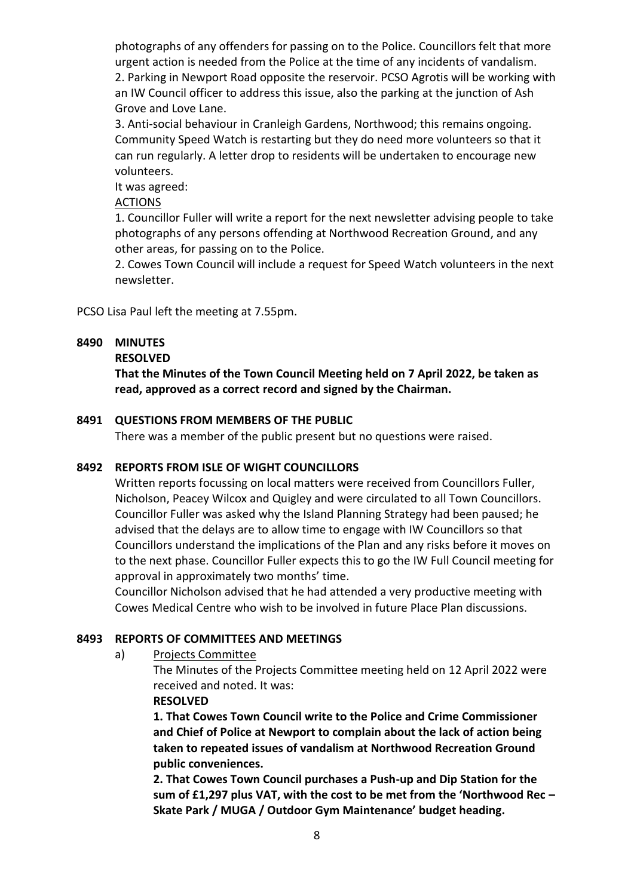photographs of any offenders for passing on to the Police. Councillors felt that more urgent action is needed from the Police at the time of any incidents of vandalism. 2. Parking in Newport Road opposite the reservoir. PCSO Agrotis will be working with an IW Council officer to address this issue, also the parking at the junction of Ash Grove and Love Lane.

3. Anti-social behaviour in Cranleigh Gardens, Northwood; this remains ongoing. Community Speed Watch is restarting but they do need more volunteers so that it can run regularly. A letter drop to residents will be undertaken to encourage new volunteers.

It was agreed:

**ACTIONS** 

1. Councillor Fuller will write a report for the next newsletter advising people to take photographs of any persons offending at Northwood Recreation Ground, and any other areas, for passing on to the Police.

2. Cowes Town Council will include a request for Speed Watch volunteers in the next newsletter.

PCSO Lisa Paul left the meeting at 7.55pm.

# **8490 MINUTES**

#### **RESOLVED**

**That the Minutes of the Town Council Meeting held on 7 April 2022, be taken as read, approved as a correct record and signed by the Chairman.**

# **8491 QUESTIONS FROM MEMBERS OF THE PUBLIC**

There was a member of the public present but no questions were raised.

#### **8492 REPORTS FROM ISLE OF WIGHT COUNCILLORS**

Written reports focussing on local matters were received from Councillors Fuller, Nicholson, Peacey Wilcox and Quigley and were circulated to all Town Councillors. Councillor Fuller was asked why the Island Planning Strategy had been paused; he advised that the delays are to allow time to engage with IW Councillors so that Councillors understand the implications of the Plan and any risks before it moves on to the next phase. Councillor Fuller expects this to go the IW Full Council meeting for approval in approximately two months' time.

Councillor Nicholson advised that he had attended a very productive meeting with Cowes Medical Centre who wish to be involved in future Place Plan discussions.

#### **8493 REPORTS OF COMMITTEES AND MEETINGS**

a) Projects Committee

The Minutes of the Projects Committee meeting held on 12 April 2022 were received and noted. It was:

#### **RESOLVED**

**1. That Cowes Town Council write to the Police and Crime Commissioner and Chief of Police at Newport to complain about the lack of action being taken to repeated issues of vandalism at Northwood Recreation Ground public conveniences.**

**2. That Cowes Town Council purchases a Push-up and Dip Station for the sum of £1,297 plus VAT, with the cost to be met from the 'Northwood Rec – Skate Park / MUGA / Outdoor Gym Maintenance' budget heading.**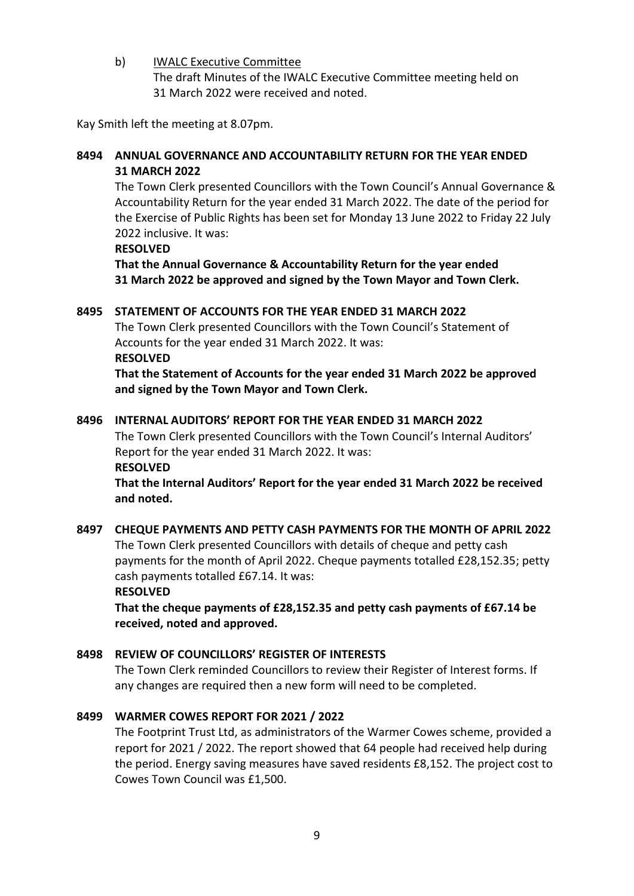b) IWALC Executive Committee The draft Minutes of the IWALC Executive Committee meeting held on 31 March 2022 were received and noted.

Kay Smith left the meeting at 8.07pm.

# **8494 ANNUAL GOVERNANCE AND ACCOUNTABILITY RETURN FOR THE YEAR ENDED 31 MARCH 2022**

The Town Clerk presented Councillors with the Town Council's Annual Governance & Accountability Return for the year ended 31 March 2022. The date of the period for the Exercise of Public Rights has been set for Monday 13 June 2022 to Friday 22 July 2022 inclusive. It was:

#### **RESOLVED**

**That the Annual Governance & Accountability Return for the year ended 31 March 2022 be approved and signed by the Town Mayor and Town Clerk.**

# **8495 STATEMENT OF ACCOUNTS FOR THE YEAR ENDED 31 MARCH 2022**

The Town Clerk presented Councillors with the Town Council's Statement of Accounts for the year ended 31 March 2022. It was: **RESOLVED**

**That the Statement of Accounts for the year ended 31 March 2022 be approved and signed by the Town Mayor and Town Clerk.**

# **8496 INTERNAL AUDITORS' REPORT FOR THE YEAR ENDED 31 MARCH 2022**

The Town Clerk presented Councillors with the Town Council's Internal Auditors' Report for the year ended 31 March 2022. It was: **RESOLVED**

**That the Internal Auditors' Report for the year ended 31 March 2022 be received and noted.**

# **8497 CHEQUE PAYMENTS AND PETTY CASH PAYMENTS FOR THE MONTH OF APRIL 2022** The Town Clerk presented Councillors with details of cheque and petty cash payments for the month of April 2022. Cheque payments totalled £28,152.35; petty cash payments totalled £67.14. It was: **RESOLVED**

**That the cheque payments of £28,152.35 and petty cash payments of £67.14 be received, noted and approved.**

# **8498 REVIEW OF COUNCILLORS' REGISTER OF INTERESTS**

The Town Clerk reminded Councillors to review their Register of Interest forms. If any changes are required then a new form will need to be completed.

#### **8499 WARMER COWES REPORT FOR 2021 / 2022**

The Footprint Trust Ltd, as administrators of the Warmer Cowes scheme, provided a report for 2021 / 2022. The report showed that 64 people had received help during the period. Energy saving measures have saved residents £8,152. The project cost to Cowes Town Council was £1,500.